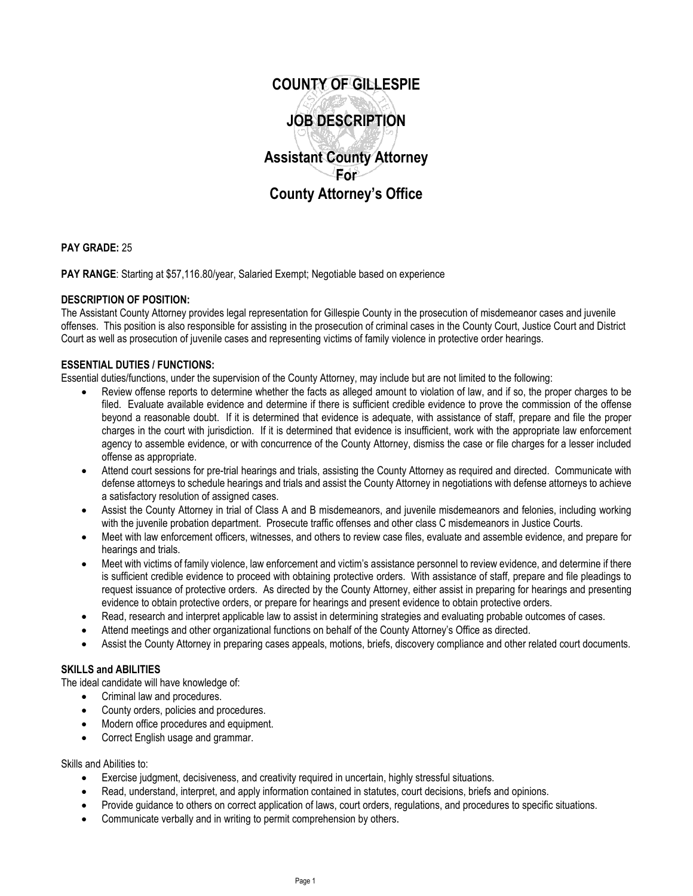

**PAY GRADE:** 25

PAY RANGE: Starting at \$57,116.80/year, Salaried Exempt; Negotiable based on experience

# **DESCRIPTION OF POSITION:**

The Assistant County Attorney provides legal representation for Gillespie County in the prosecution of misdemeanor cases and juvenile offenses. This position is also responsible for assisting in the prosecution of criminal cases in the County Court, Justice Court and District Court as well as prosecution of juvenile cases and representing victims of family violence in protective order hearings.

# **ESSENTIAL DUTIES / FUNCTIONS:**

Essential duties/functions, under the supervision of the County Attorney, may include but are not limited to the following:

- Review offense reports to determine whether the facts as alleged amount to violation of law, and if so, the proper charges to be filed. Evaluate available evidence and determine if there is sufficient credible evidence to prove the commission of the offense beyond a reasonable doubt. If it is determined that evidence is adequate, with assistance of staff, prepare and file the proper charges in the court with jurisdiction. If it is determined that evidence is insufficient, work with the appropriate law enforcement agency to assemble evidence, or with concurrence of the County Attorney, dismiss the case or file charges for a lesser included offense as appropriate.
- Attend court sessions for pre-trial hearings and trials, assisting the County Attorney as required and directed. Communicate with defense attorneys to schedule hearings and trials and assist the County Attorney in negotiations with defense attorneys to achieve a satisfactory resolution of assigned cases.
- Assist the County Attorney in trial of Class A and B misdemeanors, and juvenile misdemeanors and felonies, including working with the juvenile probation department. Prosecute traffic offenses and other class C misdemeanors in Justice Courts.
- Meet with law enforcement officers, witnesses, and others to review case files, evaluate and assemble evidence, and prepare for hearings and trials.
- Meet with victims of family violence, law enforcement and victim's assistance personnel to review evidence, and determine if there is sufficient credible evidence to proceed with obtaining protective orders. With assistance of staff, prepare and file pleadings to request issuance of protective orders. As directed by the County Attorney, either assist in preparing for hearings and presenting evidence to obtain protective orders, or prepare for hearings and present evidence to obtain protective orders.
- Read, research and interpret applicable law to assist in determining strategies and evaluating probable outcomes of cases.
- Attend meetings and other organizational functions on behalf of the County Attorney's Office as directed.
- Assist the County Attorney in preparing cases appeals, motions, briefs, discovery compliance and other related court documents.

# **SKILLS and ABILITIES**

The ideal candidate will have knowledge of:

- Criminal law and procedures.
- County orders, policies and procedures.
- Modern office procedures and equipment.
- Correct English usage and grammar.

Skills and Abilities to:

- Exercise judgment, decisiveness, and creativity required in uncertain, highly stressful situations.
- Read, understand, interpret, and apply information contained in statutes, court decisions, briefs and opinions.
- Provide guidance to others on correct application of laws, court orders, regulations, and procedures to specific situations.
- Communicate verbally and in writing to permit comprehension by others.